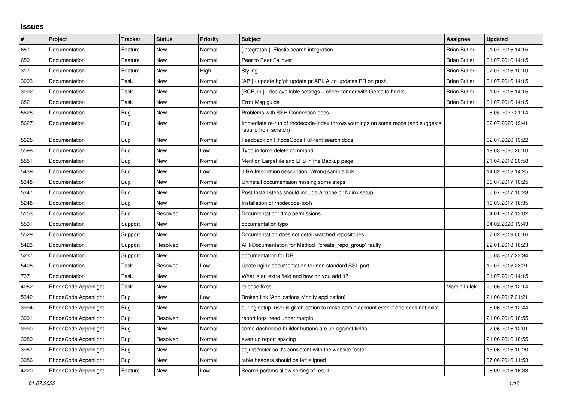## **Issues**

| $\vert$ # | Project              | Tracker    | <b>Status</b> | <b>Priority</b> | <b>Subject</b>                                                                                           | Assignee            | <b>Updated</b>   |
|-----------|----------------------|------------|---------------|-----------------|----------------------------------------------------------------------------------------------------------|---------------------|------------------|
| 687       | Documentation        | Feature    | New           | Normal          | [Integraton] - Elastic search integration                                                                | <b>Brian Butler</b> | 01.07.2016 14:15 |
| 659       | Documentation        | Feature    | New           | Normal          | Peer to Peer Failover                                                                                    | <b>Brian Butler</b> | 01.07.2016 14:15 |
| 317       | Documentation        | Feature    | New           | High            | Styling                                                                                                  | <b>Brian Butler</b> | 07.07.2016 10:10 |
| 3093      | Documentation        | Task       | New           | Normal          | [API] - update hg/git update pr API. Auto updates PR on push                                             | <b>Brian Butler</b> | 01.07.2016 14:15 |
| 3092      | Documentation        | Task       | New           | Normal          | [RCE, ini] - doc available settings + check tender with Gemalto hacks                                    | <b>Brian Butler</b> | 01.07.2016 14:15 |
| 682       | Documentation        | Task       | New           | Normal          | Error Msg guide                                                                                          | <b>Brian Butler</b> | 01.07.2016 14:15 |
| 5628      | Documentation        | Bug        | New           | Normal          | Problems with SSH Connection docs                                                                        |                     | 06.05.2022 21:14 |
| 5627      | Documentation        | Bug        | New           | Normal          | Immediate re-run of rhodecode-index throws warnings on some repos (and suggests<br>rebuild from scratch) |                     | 02.07.2020 19:41 |
| 5625      | Documentation        | <b>Bug</b> | New           | Normal          | Feedback on RhodeCode Full-text search docs                                                              |                     | 02.07.2020 19:22 |
| 5598      | Documentation        | Bug        | New           | Low             | Typo in force delete command                                                                             |                     | 19.03.2020 20:10 |
| 5551      | Documentation        | <b>Bug</b> | New           | Normal          | Mention LargeFile and LFS in the Backup page                                                             |                     | 21.04.2019 20:58 |
| 5439      | Documentation        | Bug        | <b>New</b>    | Low             | JIRA Integration description: Wrong sample link                                                          |                     | 14.02.2018 14:25 |
| 5348      | Documentation        | <b>Bug</b> | New           | Normal          | Uninstall documentaion missing some steps                                                                |                     | 06.07.2017 10:25 |
| 5347      | Documentation        | Bug        | New           | Normal          | Post Install steps should include Apache or Nginx setup.                                                 |                     | 06.07.2017 10:23 |
| 5248      | Documentation        | <b>Bug</b> | New           | Normal          | Installation of rhodecode-tools                                                                          |                     | 16.03.2017 16:35 |
| 5153      | Documentation        | <b>Bug</b> | Resolved      | Normal          | Documentation: /tmp permissions                                                                          |                     | 04.01.2017 13:02 |
| 5591      | Documentation        | Support    | <b>New</b>    | Normal          | documentation typo                                                                                       |                     | 04.02.2020 19:43 |
| 5529      | Documentation        | Support    | New           | Normal          | Documentation does not detail watched repositories                                                       |                     | 07.02.2019 00:16 |
| 5423      | Documentation        | Support    | Resolved      | Normal          | API-Documentation for Method "create_repo_group" faulty                                                  |                     | 22.01.2018 16:23 |
| 5237      | Documentation        | Support    | <b>New</b>    | Normal          | documentation for DR                                                                                     |                     | 06.03.2017 23:34 |
| 5408      | Documentation        | Task       | Resolved      | Low             | Upate nginx documentation for non standard SSL port                                                      |                     | 12.07.2018 23:21 |
| 737       | Documentation        | Task       | <b>New</b>    | Normal          | What is an extra field and how do you add it?                                                            |                     | 01.07.2016 14:15 |
| 4052      | RhodeCode Appenlight | Task       | New           | Normal          | release fixes                                                                                            | <b>Marcin Lulek</b> | 29.06.2016 12:14 |
| 5342      | RhodeCode Appenlight | <b>Bug</b> | New           | Low             | Broken link [Applications Modify application]                                                            |                     | 21.06.2017 21:21 |
| 3994      | RhodeCode Appenlight | <b>Bug</b> | New           | Normal          | during setup, user is given option to make admin account even if one does not exist                      |                     | 08.06.2016 12:44 |
| 3991      | RhodeCode Appenlight | <b>Bug</b> | Resolved      | Normal          | report logs need upper margin                                                                            |                     | 21.06.2016 18:55 |
| 3990      | RhodeCode Appenlight | <b>Bug</b> | <b>New</b>    | Normal          | some dashboard builder buttons are up against fields                                                     |                     | 07.06.2016 12:01 |
| 3989      | RhodeCode Appenlight | <b>Bug</b> | Resolved      | Normal          | even up report spacing                                                                                   |                     | 21.06.2016 18:55 |
| 3987      | RhodeCode Appenlight | Bug        | New           | Normal          | adjust footer so it's consistent with the website footer                                                 |                     | 15.06.2016 10:20 |
| 3986      | RhodeCode Appenlight | <b>Bug</b> | New           | Normal          | table headers should be left aligned                                                                     |                     | 07.06.2016 11:53 |
| 4220      | RhodeCode Appenlight | Feature    | New           | Low             | Search params allow sorting of result.                                                                   |                     | 06.09.2016 16:33 |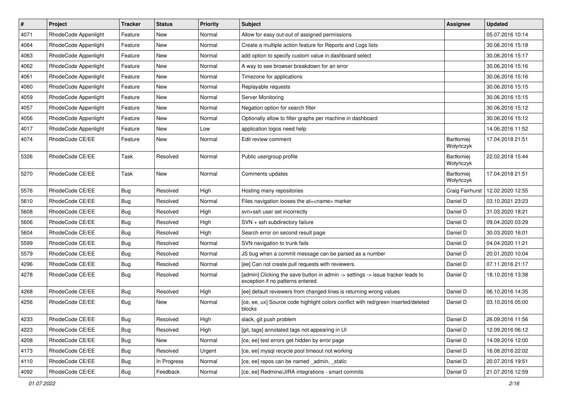| $\vert$ # | Project              | <b>Tracker</b> | <b>Status</b> | <b>Priority</b> | Subject                                                                                                              | <b>Assignee</b>                | <b>Updated</b>   |
|-----------|----------------------|----------------|---------------|-----------------|----------------------------------------------------------------------------------------------------------------------|--------------------------------|------------------|
| 4071      | RhodeCode Appenlight | Feature        | New           | Normal          | Allow for easy out-out of assigned permissions                                                                       |                                | 05.07.2016 10:14 |
| 4064      | RhodeCode Appenlight | Feature        | New           | Normal          | Create a multiple action feature for Reports and Logs lists                                                          |                                | 30.06.2016 15:18 |
| 4063      | RhodeCode Appenlight | Feature        | New           | Normal          | add option to specify custom value in dashboard select                                                               |                                | 30.06.2016 15:17 |
| 4062      | RhodeCode Appenlight | Feature        | New           | Normal          | A way to see browser breakdown for an error                                                                          |                                | 30.06.2016 15:16 |
| 4061      | RhodeCode Appenlight | Feature        | New           | Normal          | Timezone for applications                                                                                            |                                | 30.06.2016 15:16 |
| 4060      | RhodeCode Appenlight | Feature        | New           | Normal          | Replayable requests                                                                                                  |                                | 30.06.2016 15:15 |
| 4059      | RhodeCode Appenlight | Feature        | New           | Normal          | Server Monitoring                                                                                                    |                                | 30.06.2016 15:15 |
| 4057      | RhodeCode Appenlight | Feature        | New           | Normal          | Negation option for search filter                                                                                    |                                | 30.06.2016 15:12 |
| 4056      | RhodeCode Appenlight | Feature        | New           | Normal          | Optionally allow to filter graphs per machine in dashboard                                                           |                                | 30.06.2016 15:12 |
| 4017      | RhodeCode Appenlight | Feature        | New           | Low             | application logos need help                                                                                          |                                | 14.06.2016 11:52 |
| 4074      | RhodeCode CE/EE      | Feature        | New           | Normal          | Edit review comment                                                                                                  | Bartłomiej<br>Wołyńczyk        | 17.04.2018 21:51 |
| 5326      | RhodeCode CE/EE      | Task           | Resolved      | Normal          | Public usergroup profile                                                                                             | <b>Bartłomiej</b><br>Wołyńczyk | 22.02.2018 15:44 |
| 5270      | RhodeCode CE/EE      | Task           | New           | Normal          | Comments updates                                                                                                     | Bartłomiej<br>Wołyńczyk        | 17.04.2018 21:51 |
| 5576      | RhodeCode CE/EE      | <b>Bug</b>     | Resolved      | High            | Hosting many repositories                                                                                            | Craig Fairhurst                | 12.02.2020 12:55 |
| 5610      | RhodeCode CE/EE      | <b>Bug</b>     | Resolved      | Normal          | Files navigation looses the at= <name> marker</name>                                                                 | Daniel D                       | 03.10.2021 23:23 |
| 5608      | RhodeCode CE/EE      | <b>Bug</b>     | Resolved      | High            | svn+ssh user set incorrectly                                                                                         | Daniel D                       | 31.03.2020 18:21 |
| 5606      | RhodeCode CE/EE      | Bug            | Resolved      | High            | SVN + ssh subdirectory failure                                                                                       | Daniel D                       | 09.04.2020 03:29 |
| 5604      | RhodeCode CE/EE      | Bug            | Resolved      | High            | Search error on second result page                                                                                   | Daniel D                       | 30.03.2020 16:01 |
| 5599      | RhodeCode CE/EE      | <b>Bug</b>     | Resolved      | Normal          | SVN navigation to trunk fails                                                                                        | Daniel D                       | 04.04.2020 11:21 |
| 5579      | RhodeCode CE/EE      | <b>Bug</b>     | Resolved      | Normal          | JS bug when a commit message can be parsed as a number                                                               | Daniel D                       | 20.01.2020 10:04 |
| 4296      | RhodeCode CE/EE      | Bug            | Resolved      | Normal          | [ee] Can not create pull requests with reviewers.                                                                    | Daniel D                       | 07.11.2016 21:17 |
| 4278      | RhodeCode CE/EE      | Bug            | Resolved      | Normal          | [admin] Clicking the save button in admin -> settings -> issue tracker leads to<br>exception if no patterns entered. | Daniel D                       | 18.10.2016 13:38 |
| 4268      | RhodeCode CE/EE      | Bug            | Resolved      | High            | [ee] default reviewers from changed lines is returning wrong values                                                  | Daniel D                       | 06.10.2016 14:35 |
| 4256      | RhodeCode CE/EE      | Bug            | New           | Normal          | [ce, ee, ux] Source code highlight colors conflict with red/green inserted/deleted<br>blocks                         | Daniel D                       | 03.10.2016 05:00 |
| 4233      | RhodeCode CE/EE      | Bug            | Resolved      | High            | slack, git push problem                                                                                              | Daniel D                       | 26.09.2016 11:56 |
| 4223      | RhodeCode CE/EE      | Bug            | Resolved      | High            | [git, tags] annotated tags not appearing in UI                                                                       | Daniel D                       | 12.09.2016 06:12 |
| 4208      | RhodeCode CE/EE      | <b>Bug</b>     | New           | Normal          | [ce, ee] test errors get hidden by error page                                                                        | Daniel D                       | 14.09.2016 12:00 |
| 4173      | RhodeCode CE/EE      | Bug            | Resolved      | Urgent          | [ce, ee] mysql recycle pool timeout not working                                                                      | Daniel D                       | 16.08.2016 22:02 |
| 4110      | RhodeCode CE/EE      | <b>Bug</b>     | In Progress   | Normal          | [ce, ee] repos can be named _admin, _static                                                                          | Daniel D                       | 20.07.2016 19:51 |
| 4092      | RhodeCode CE/EE      | Bug            | Feedback      | Normal          | [ce, ee] Redmine/JIRA integrations - smart commits                                                                   | Daniel D                       | 21.07.2016 12:59 |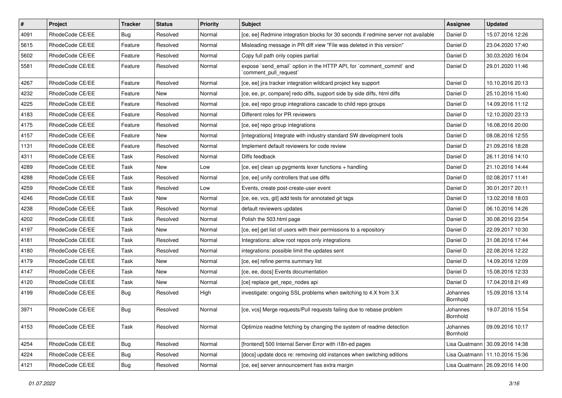| $\vert$ # | Project         | <b>Tracker</b> | <b>Status</b> | <b>Priority</b> | <b>Subject</b>                                                                                 | Assignee             | <b>Updated</b>                   |
|-----------|-----------------|----------------|---------------|-----------------|------------------------------------------------------------------------------------------------|----------------------|----------------------------------|
| 4091      | RhodeCode CE/EE | Bug            | Resolved      | Normal          | [ce, ee] Redmine integration blocks for 30 seconds if redmine server not available             | Daniel D             | 15.07.2016 12:26                 |
| 5615      | RhodeCode CE/EE | Feature        | Resolved      | Normal          | Misleading message in PR diff view "File was deleted in this version"                          | Daniel D             | 23.04.2020 17:40                 |
| 5602      | RhodeCode CE/EE | Feature        | Resolved      | Normal          | Copy full path only copies partial                                                             | Daniel D             | 30.03.2020 16:04                 |
| 5581      | RhodeCode CE/EE | Feature        | Resolved      | Normal          | expose `send email` option in the HTTP API, for `comment commit` and<br>`comment_pull_request` | Daniel D             | 29.01.2020 11:46                 |
| 4267      | RhodeCode CE/EE | Feature        | Resolved      | Normal          | [ce, ee] jira tracker integration wildcard project key support                                 | Daniel D             | 10.10.2016 20:13                 |
| 4232      | RhodeCode CE/EE | Feature        | New           | Normal          | [ce, ee, pr, compare] redo diffs, support side by side diffs, html diffs                       | Daniel D             | 25.10.2016 15:40                 |
| 4225      | RhodeCode CE/EE | Feature        | Resolved      | Normal          | [ce, ee] repo group integrations cascade to child repo groups                                  | Daniel D             | 14.09.2016 11:12                 |
| 4183      | RhodeCode CE/EE | Feature        | Resolved      | Normal          | Different roles for PR reviewers                                                               | Daniel D             | 12.10.2020 23:13                 |
| 4175      | RhodeCode CE/EE | Feature        | Resolved      | Normal          | [ce, ee] repo group integrations                                                               | Daniel D             | 16.08.2016 20:00                 |
| 4157      | RhodeCode CE/EE | Feature        | New           | Normal          | [integrations] Integrate with industry standard SW development tools                           | Daniel D             | 08.08.2016 12:55                 |
| 1131      | RhodeCode CE/EE | Feature        | Resolved      | Normal          | Implement default reviewers for code review                                                    | Daniel D             | 21.09.2016 18:28                 |
| 4311      | RhodeCode CE/EE | Task           | Resolved      | Normal          | Diffs feedback                                                                                 | Daniel D             | 26.11.2016 14:10                 |
| 4289      | RhodeCode CE/EE | Task           | New           | Low             | [ce, ee] clean up pygments lexer functions + handling                                          | Daniel D             | 21.10.2016 14:44                 |
| 4288      | RhodeCode CE/EE | Task           | Resolved      | Normal          | [ce, ee] unify controllers that use diffs                                                      | Daniel D             | 02.08.2017 11:41                 |
| 4259      | RhodeCode CE/EE | Task           | Resolved      | Low             | Events, create post-create-user event                                                          | Daniel D             | 30.01.2017 20:11                 |
| 4246      | RhodeCode CE/EE | Task           | New           | Normal          | [ce, ee, vcs, git] add tests for annotated git tags                                            | Daniel D             | 13.02.2018 18:03                 |
| 4238      | RhodeCode CE/EE | Task           | Resolved      | Normal          | default reviewers updates                                                                      | Daniel D             | 06.10.2016 14:26                 |
| 4202      | RhodeCode CE/EE | Task           | Resolved      | Normal          | Polish the 503.html page                                                                       | Daniel D             | 30.08.2016 23:54                 |
| 4197      | RhodeCode CE/EE | Task           | New           | Normal          | [ce, ee] get list of users with their permissions to a repository                              | Daniel D             | 22.09.2017 10:30                 |
| 4181      | RhodeCode CE/EE | Task           | Resolved      | Normal          | Integrations: allow root repos only integrations                                               | Daniel D             | 31.08.2016 17:44                 |
| 4180      | RhodeCode CE/EE | Task           | Resolved      | Normal          | integrations: possible limit the updates sent                                                  | Daniel D             | 22.08.2016 12:22                 |
| 4179      | RhodeCode CE/EE | Task           | <b>New</b>    | Normal          | [ce, ee] refine perms summary list                                                             | Daniel D             | 14.09.2016 12:09                 |
| 4147      | RhodeCode CE/EE | Task           | New           | Normal          | [ce, ee, docs] Events documentation                                                            | Daniel D             | 15.08.2016 12:33                 |
| 4120      | RhodeCode CE/EE | Task           | New           | Normal          | [ce] replace get repo nodes api                                                                | Daniel D             | 17.04.2018 21:49                 |
| 4199      | RhodeCode CE/EE | <b>Bug</b>     | Resolved      | High            | investigate: ongoing SSL problems when switching to 4.X from 3.X                               | Johannes<br>Bornhold | 15.09.2016 13:14                 |
| 3971      | RhodeCode CE/EE | <b>Bug</b>     | Resolved      | Normal          | [ce, vcs] Merge requests/Pull requests failing due to rebase problem                           | Johannes<br>Bornhold | 19.07.2016 15:54                 |
| 4153      | RhodeCode CE/EE | Task           | Resolved      | Normal          | Optimize readme fetching by changing the system of readme detection                            | Johannes<br>Bornhold | 09.09.2016 10:17                 |
| 4254      | RhodeCode CE/EE | Bug            | Resolved      | Normal          | [frontend] 500 Internal Server Error with i18n-ed pages                                        | Lisa Quatmann        | 30.09.2016 14:38                 |
| 4224      | RhodeCode CE/EE | <b>Bug</b>     | Resolved      | Normal          | [docs] update docs re: removing old instances when switching editions                          |                      | Lisa Quatmann   11.10.2016 15:36 |
| 4121      | RhodeCode CE/EE | Bug            | Resolved      | Normal          | [ce, ee] server announcement has extra margin                                                  |                      | Lisa Quatmann   26.09.2016 14:00 |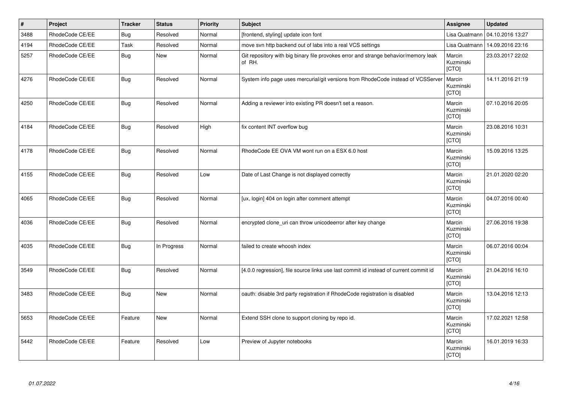| $\vert$ # | Project         | <b>Tracker</b> | <b>Status</b> | <b>Priority</b> | <b>Subject</b>                                                                                | Assignee                            | <b>Updated</b>   |
|-----------|-----------------|----------------|---------------|-----------------|-----------------------------------------------------------------------------------------------|-------------------------------------|------------------|
| 3488      | RhodeCode CE/EE | Bug            | Resolved      | Normal          | [frontend, styling] update icon font                                                          | Lisa Quatmann                       | 04.10.2016 13:27 |
| 4194      | RhodeCode CE/EE | Task           | Resolved      | Normal          | move svn http backend out of labs into a real VCS settings                                    | Lisa Quatmann                       | 14.09.2016 23:16 |
| 5257      | RhodeCode CE/EE | <b>Bug</b>     | New           | Normal          | Git repository with big binary file provokes error and strange behavior/memory leak<br>of RH. | Marcin<br>Kuzminski<br><b>[CTO]</b> | 23.03.2017 22:02 |
| 4276      | RhodeCode CE/EE | <b>Bug</b>     | Resolved      | Normal          | System info page uses mercurial/git versions from RhodeCode instead of VCSServer              | Marcin<br>Kuzminski<br>[CTO]        | 14.11.2016 21:19 |
| 4250      | RhodeCode CE/EE | <b>Bug</b>     | Resolved      | Normal          | Adding a reviewer into existing PR doesn't set a reason.                                      | Marcin<br>Kuzminski<br>[CTO]        | 07.10.2016 20:05 |
| 4184      | RhodeCode CE/EE | <b>Bug</b>     | Resolved      | High            | fix content INT overflow bug                                                                  | Marcin<br>Kuzminski<br>[CTO]        | 23.08.2016 10:31 |
| 4178      | RhodeCode CE/EE | Bug            | Resolved      | Normal          | RhodeCode EE OVA VM wont run on a ESX 6.0 host                                                | Marcin<br>Kuzminski<br>[CTO]        | 15.09.2016 13:25 |
| 4155      | RhodeCode CE/EE | <b>Bug</b>     | Resolved      | Low             | Date of Last Change is not displayed correctly                                                | Marcin<br>Kuzminski<br>[CTO]        | 21.01.2020 02:20 |
| 4065      | RhodeCode CE/EE | Bug            | Resolved      | Normal          | [ux, login] 404 on login after comment attempt                                                | Marcin<br>Kuzminski<br>[CTO]        | 04.07.2016 00:40 |
| 4036      | RhodeCode CE/EE | Bug            | Resolved      | Normal          | encrypted clone uri can throw unicodeerror after key change                                   | Marcin<br>Kuzminski<br>[CTO]        | 27.06.2016 19:38 |
| 4035      | RhodeCode CE/EE | <b>Bug</b>     | In Progress   | Normal          | failed to create whoosh index                                                                 | Marcin<br>Kuzminski<br>[CTO]        | 06.07.2016 00:04 |
| 3549      | RhodeCode CE/EE | Bug            | Resolved      | Normal          | [4.0.0 regression], file source links use last commit id instead of current commit id         | Marcin<br>Kuzminski<br>[CTO]        | 21.04.2016 16:10 |
| 3483      | RhodeCode CE/EE | <b>Bug</b>     | <b>New</b>    | Normal          | oauth: disable 3rd party registration if RhodeCode registration is disabled                   | Marcin<br>Kuzminski<br>[CTO]        | 13.04.2016 12:13 |
| 5653      | RhodeCode CE/EE | Feature        | <b>New</b>    | Normal          | Extend SSH clone to support cloning by repo id.                                               | Marcin<br>Kuzminski<br>[CTO]        | 17.02.2021 12:58 |
| 5442      | RhodeCode CE/EE | Feature        | Resolved      | Low             | Preview of Jupyter notebooks                                                                  | Marcin<br>Kuzminski<br>[CTO]        | 16.01.2019 16:33 |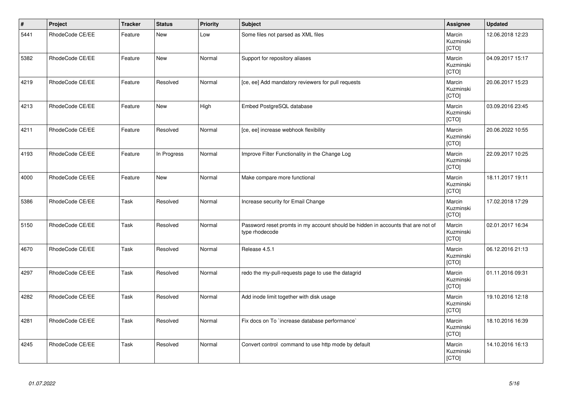| $\vert$ # | Project         | <b>Tracker</b> | <b>Status</b> | <b>Priority</b> | Subject                                                                                            | <b>Assignee</b>              | <b>Updated</b>   |
|-----------|-----------------|----------------|---------------|-----------------|----------------------------------------------------------------------------------------------------|------------------------------|------------------|
| 5441      | RhodeCode CE/EE | Feature        | <b>New</b>    | Low             | Some files not parsed as XML files                                                                 | Marcin<br>Kuzminski<br>[CTO] | 12.06.2018 12:23 |
| 5382      | RhodeCode CE/EE | Feature        | New           | Normal          | Support for repository aliases                                                                     | Marcin<br>Kuzminski<br>[CTO] | 04.09.2017 15:17 |
| 4219      | RhodeCode CE/EE | Feature        | Resolved      | Normal          | [ce, ee] Add mandatory reviewers for pull requests                                                 | Marcin<br>Kuzminski<br>[CTO] | 20.06.2017 15:23 |
| 4213      | RhodeCode CE/EE | Feature        | New           | High            | Embed PostgreSQL database                                                                          | Marcin<br>Kuzminski<br>[CTO] | 03.09.2016 23:45 |
| 4211      | RhodeCode CE/EE | Feature        | Resolved      | Normal          | [ce, ee] increase webhook flexibility                                                              | Marcin<br>Kuzminski<br>[CTO] | 20.06.2022 10:55 |
| 4193      | RhodeCode CE/EE | Feature        | In Progress   | Normal          | Improve Filter Functionality in the Change Log                                                     | Marcin<br>Kuzminski<br>[CTO] | 22.09.2017 10:25 |
| 4000      | RhodeCode CE/EE | Feature        | New           | Normal          | Make compare more functional                                                                       | Marcin<br>Kuzminski<br>[CTO] | 18.11.2017 19:11 |
| 5386      | RhodeCode CE/EE | Task           | Resolved      | Normal          | Increase security for Email Change                                                                 | Marcin<br>Kuzminski<br>[CTO] | 17.02.2018 17:29 |
| 5150      | RhodeCode CE/EE | Task           | Resolved      | Normal          | Password reset promts in my account should be hidden in accounts that are not of<br>type rhodecode | Marcin<br>Kuzminski<br>[CTO] | 02.01.2017 16:34 |
| 4670      | RhodeCode CE/EE | Task           | Resolved      | Normal          | Release 4.5.1                                                                                      | Marcin<br>Kuzminski<br>[CTO] | 06.12.2016 21:13 |
| 4297      | RhodeCode CE/EE | Task           | Resolved      | Normal          | redo the my-pull-requests page to use the datagrid                                                 | Marcin<br>Kuzminski<br>[CTO] | 01.11.2016 09:31 |
| 4282      | RhodeCode CE/EE | Task           | Resolved      | Normal          | Add inode limit together with disk usage                                                           | Marcin<br>Kuzminski<br>[CTO] | 19.10.2016 12:18 |
| 4281      | RhodeCode CE/EE | Task           | Resolved      | Normal          | Fix docs on To `increase database performance`                                                     | Marcin<br>Kuzminski<br>[CTO] | 18.10.2016 16:39 |
| 4245      | RhodeCode CE/EE | Task           | Resolved      | Normal          | Convert control command to use http mode by default                                                | Marcin<br>Kuzminski<br>[CTO] | 14.10.2016 16:13 |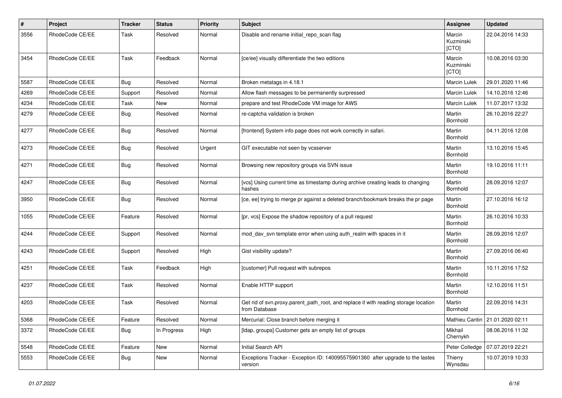| $\pmb{\#}$ | Project         | <b>Tracker</b> | <b>Status</b> | <b>Priority</b> | <b>Subject</b>                                                                                       | <b>Assignee</b>              | <b>Updated</b>                  |
|------------|-----------------|----------------|---------------|-----------------|------------------------------------------------------------------------------------------------------|------------------------------|---------------------------------|
| 3556       | RhodeCode CE/EE | Task           | Resolved      | Normal          | Disable and rename initial repo scan flag                                                            | Marcin<br>Kuzminski<br>[CTO] | 22.04.2016 14:33                |
| 3454       | RhodeCode CE/EE | Task           | Feedback      | Normal          | [ce/ee] visually differentiate the two editions                                                      | Marcin<br>Kuzminski<br>[CTO] | 10.08.2016 03:30                |
| 5587       | RhodeCode CE/EE | Bug            | Resolved      | Normal          | Broken metatags in 4.18.1                                                                            | <b>Marcin Lulek</b>          | 29.01.2020 11:46                |
| 4269       | RhodeCode CE/EE | Support        | Resolved      | Normal          | Allow flash messages to be permanently surpressed                                                    | Marcin Lulek                 | 14.10.2016 12:46                |
| 4234       | RhodeCode CE/EE | Task           | New           | Normal          | prepare and test RhodeCode VM image for AWS                                                          | Marcin Lulek                 | 11.07.2017 13:32                |
| 4279       | RhodeCode CE/EE | Bug            | Resolved      | Normal          | re-captcha validation is broken                                                                      | Martin<br>Bornhold           | 26.10.2016 22:27                |
| 4277       | RhodeCode CE/EE | <b>Bug</b>     | Resolved      | Normal          | [frontend] System info page does not work correctly in safari.                                       | Martin<br>Bornhold           | 04.11.2016 12:08                |
| 4273       | RhodeCode CE/EE | Bug            | Resolved      | Urgent          | GIT executable not seen by vcsserver                                                                 | Martin<br>Bornhold           | 13.10.2016 15:45                |
| 4271       | RhodeCode CE/EE | Bug            | Resolved      | Normal          | Browsing new repository groups via SVN issue                                                         | Martin<br>Bornhold           | 19.10.2016 11:11                |
| 4247       | RhodeCode CE/EE | Bug            | Resolved      | Normal          | [vcs] Using current time as timestamp during archive creating leads to changing<br>hashes            | Martin<br>Bornhold           | 28.09.2016 12:07                |
| 3950       | RhodeCode CE/EE | <b>Bug</b>     | Resolved      | Normal          | [ce, ee] trying to merge pr against a deleted branch/bookmark breaks the pr page                     | Martin<br>Bornhold           | 27.10.2016 16:12                |
| 1055       | RhodeCode CE/EE | Feature        | Resolved      | Normal          | [pr, vcs] Expose the shadow repository of a pull request                                             | Martin<br>Bornhold           | 26.10.2016 10:33                |
| 4244       | RhodeCode CE/EE | Support        | Resolved      | Normal          | mod_dav_svn template error when using auth_realm with spaces in it                                   | Martin<br>Bornhold           | 28.09.2016 12:07                |
| 4243       | RhodeCode CE/EE | Support        | Resolved      | High            | Gist visibility update?                                                                              | Martin<br>Bornhold           | 27.09.2016 06:40                |
| 4251       | RhodeCode CE/EE | Task           | Feedback      | High            | [customer] Pull request with subrepos                                                                | Martin<br>Bornhold           | 10.11.2016 17:52                |
| 4237       | RhodeCode CE/EE | Task           | Resolved      | Normal          | Enable HTTP support                                                                                  | Martin<br>Bornhold           | 12.10.2016 11:51                |
| 4203       | RhodeCode CE/EE | Task           | Resolved      | Normal          | Get rid of svn.proxy.parent_path_root, and replace it with reading storage location<br>from Database | Martin<br>Bornhold           | 22.09.2016 14:31                |
| 5368       | RhodeCode CE/EE | Feature        | Resolved      | Normal          | Mercurial: Close branch before merging it                                                            |                              | Mathieu Cantin 21.01.2020 02:11 |
| 3372       | RhodeCode CE/EE | <b>Bug</b>     | In Progress   | High            | [Idap, groups] Customer gets an empty list of groups                                                 | Mikhail<br>Chernykh          | 08.06.2016 11:32                |
| 5548       | RhodeCode CE/EE | Feature        | New           | Normal          | Initial Search API                                                                                   | Peter Colledge               | 07.07.2019 22:21                |
| 5553       | RhodeCode CE/EE | <b>Bug</b>     | New           | Normal          | Exceptions Tracker - Exception ID: 140095575901360 after upgrade to the lastes<br>version            | Thierry<br>Wynsdau           | 10.07.2019 10:33                |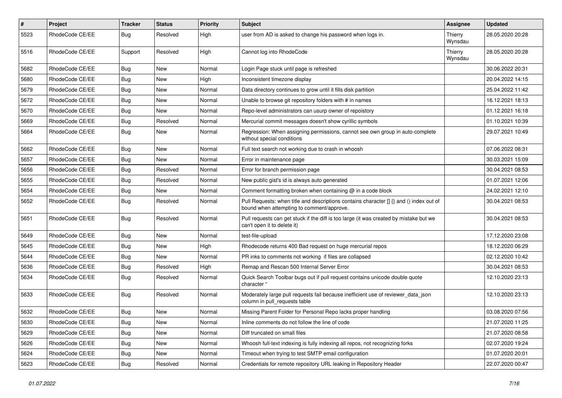| $\pmb{\#}$ | Project         | <b>Tracker</b> | <b>Status</b> | <b>Priority</b> | <b>Subject</b>                                                                                                                       | <b>Assignee</b>    | <b>Updated</b>   |
|------------|-----------------|----------------|---------------|-----------------|--------------------------------------------------------------------------------------------------------------------------------------|--------------------|------------------|
| 5523       | RhodeCode CE/EE | <b>Bug</b>     | Resolved      | High            | user from AD is asked to change his password when logs in.                                                                           | Thierry<br>Wynsdau | 28.05.2020 20:28 |
| 5516       | RhodeCode CE/EE | Support        | Resolved      | High            | Cannot log into RhodeCode                                                                                                            | Thierry<br>Wynsdau | 28.05.2020 20:28 |
| 5682       | RhodeCode CE/EE | Bug            | New           | Normal          | Login Page stuck until page is refreshed                                                                                             |                    | 30.06.2022 20:31 |
| 5680       | RhodeCode CE/EE | <b>Bug</b>     | New           | High            | Inconsistent timezone display                                                                                                        |                    | 20.04.2022 14:15 |
| 5679       | RhodeCode CE/EE | Bug            | <b>New</b>    | Normal          | Data directory continues to grow until it fills disk partition                                                                       |                    | 25.04.2022 11:42 |
| 5672       | RhodeCode CE/EE | Bug            | New           | Normal          | Unable to browse git repository folders with # in names                                                                              |                    | 16.12.2021 18:13 |
| 5670       | RhodeCode CE/EE | <b>Bug</b>     | New           | Normal          | Repo-level administrators can usurp owner of repoistory                                                                              |                    | 01.12.2021 16:18 |
| 5669       | RhodeCode CE/EE | Bug            | Resolved      | Normal          | Mercurial commit messages doesn't show cyrillic symbols                                                                              |                    | 01.10.2021 10:39 |
| 5664       | RhodeCode CE/EE | Bug            | New           | Normal          | Regression: When assigning permissions, cannot see own group in auto-complete<br>without special conditions                          |                    | 29.07.2021 10:49 |
| 5662       | RhodeCode CE/EE | Bug            | New           | Normal          | Full text search not working due to crash in whoosh                                                                                  |                    | 07.06.2022 08:31 |
| 5657       | RhodeCode CE/EE | <b>Bug</b>     | <b>New</b>    | Normal          | Error in maintenance page                                                                                                            |                    | 30.03.2021 15:09 |
| 5656       | RhodeCode CE/EE | <b>Bug</b>     | Resolved      | Normal          | Error for branch permission page                                                                                                     |                    | 30.04.2021 08:53 |
| 5655       | RhodeCode CE/EE | Bug            | Resolved      | Normal          | New public gist's id is always auto generated                                                                                        |                    | 01.07.2021 12:06 |
| 5654       | RhodeCode CE/EE | Bug            | New           | Normal          | Comment formatting broken when containing @ in a code block                                                                          |                    | 24.02.2021 12:10 |
| 5652       | RhodeCode CE/EE | Bug            | Resolved      | Normal          | Pull Requests: when title and descriptions contains character [] {} and () index out of<br>bound when attempting to comment/approve. |                    | 30.04.2021 08:53 |
| 5651       | RhodeCode CE/EE | Bug            | Resolved      | Normal          | Pull requests can get stuck if the diff is too large (it was created by mistake but we<br>can't open it to delete it)                |                    | 30.04.2021 08:53 |
| 5649       | RhodeCode CE/EE | Bug            | <b>New</b>    | Normal          | test-file-upload                                                                                                                     |                    | 17.12.2020 23:08 |
| 5645       | RhodeCode CE/EE | <b>Bug</b>     | <b>New</b>    | High            | Rhodecode returns 400 Bad request on huge mercurial repos                                                                            |                    | 18.12.2020 06:29 |
| 5644       | RhodeCode CE/EE | <b>Bug</b>     | New           | Normal          | PR inks to comments not working if files are collapsed                                                                               |                    | 02.12.2020 10:42 |
| 5636       | RhodeCode CE/EE | Bug            | Resolved      | High            | Remap and Rescan 500 Internal Server Error                                                                                           |                    | 30.04.2021 08:53 |
| 5634       | RhodeCode CE/EE | <b>Bug</b>     | Resolved      | Normal          | Quick Search Toolbar bugs out if pull request contains unicode double quote<br>character "                                           |                    | 12.10.2020 23:13 |
| 5633       | RhodeCode CE/EE | Bug            | Resolved      | Normal          | Moderately large pull requests fail because inefficient use of reviewer_data_json<br>column in pull requests table                   |                    | 12.10.2020 23:13 |
| 5632       | RhodeCode CE/EE | Bug            | New           | Normal          | Missing Parent Folder for Personal Repo lacks proper handling                                                                        |                    | 03.08.2020 07:56 |
| 5630       | RhodeCode CE/EE | Bug            | New           | Normal          | Inline comments do not follow the line of code                                                                                       |                    | 21.07.2020 11:25 |
| 5629       | RhodeCode CE/EE | <b>Bug</b>     | New           | Normal          | Diff truncated on small files                                                                                                        |                    | 21.07.2020 08:58 |
| 5626       | RhodeCode CE/EE | <b>Bug</b>     | New           | Normal          | Whoosh full-text indexing is fully indexing all repos, not recognizing forks                                                         |                    | 02.07.2020 19:24 |
| 5624       | RhodeCode CE/EE | Bug            | New           | Normal          | Timeout when trying to test SMTP email configuration                                                                                 |                    | 01.07.2020 20:01 |
| 5623       | RhodeCode CE/EE | Bug            | Resolved      | Normal          | Credentials for remote repository URL leaking in Repository Header                                                                   |                    | 22.07.2020 00:47 |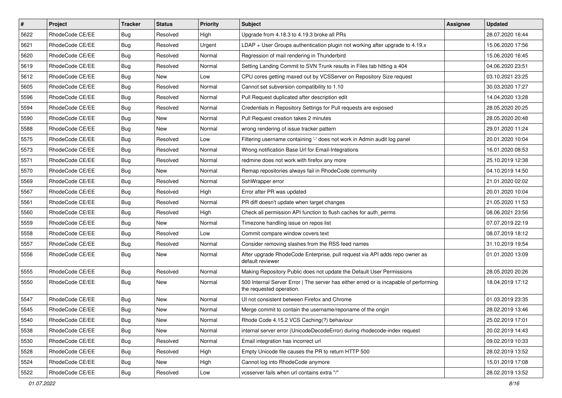| $\vert$ # | Project         | <b>Tracker</b> | <b>Status</b> | Priority | Subject                                                                                                           | <b>Assignee</b> | <b>Updated</b>   |
|-----------|-----------------|----------------|---------------|----------|-------------------------------------------------------------------------------------------------------------------|-----------------|------------------|
| 5622      | RhodeCode CE/EE | Bug            | Resolved      | High     | Upgrade from 4.18.3 to 4.19.3 broke all PRs                                                                       |                 | 28.07.2020 16:44 |
| 5621      | RhodeCode CE/EE | Bug            | Resolved      | Urgent   | $LDAP + User Groups authentication playing not working after upgrade to 4.19.x$                                   |                 | 15.06.2020 17:56 |
| 5620      | RhodeCode CE/EE | Bug            | Resolved      | Normal   | Regression of mail rendering in Thunderbird                                                                       |                 | 15.06.2020 16:45 |
| 5619      | RhodeCode CE/EE | Bug            | Resolved      | Normal   | Setting Landing Commit to SVN Trunk results in Files tab hitting a 404                                            |                 | 04.06.2020 23:51 |
| 5612      | RhodeCode CE/EE | Bug            | <b>New</b>    | Low      | CPU cores getting maxed out by VCSServer on Repository Size request                                               |                 | 03.10.2021 23:25 |
| 5605      | RhodeCode CE/EE | Bug            | Resolved      | Normal   | Cannot set subversion compatibility to 1.10                                                                       |                 | 30.03.2020 17:27 |
| 5596      | RhodeCode CE/EE | Bug            | Resolved      | Normal   | Pull Request duplicated after description edit                                                                    |                 | 14.04.2020 13:28 |
| 5594      | RhodeCode CE/EE | Bug            | Resolved      | Normal   | Credentials in Repository Settings for Pull requests are exposed                                                  |                 | 28.05.2020 20:25 |
| 5590      | RhodeCode CE/EE | Bug            | New           | Normal   | Pull Request creation takes 2 minutes                                                                             |                 | 28.05.2020 20:48 |
| 5588      | RhodeCode CE/EE | Bug            | <b>New</b>    | Normal   | wrong rendering of issue tracker pattern                                                                          |                 | 29.01.2020 11:24 |
| 5575      | RhodeCode CE/EE | Bug            | Resolved      | Low      | Filtering username containing '-' does not work in Admin audit log panel                                          |                 | 20.01.2020 10:04 |
| 5573      | RhodeCode CE/EE | Bug            | Resolved      | Normal   | Wrong notification Base Url for Email-Integrations                                                                |                 | 16.01.2020 08:53 |
| 5571      | RhodeCode CE/EE | Bug            | Resolved      | Normal   | redmine does not work with firefox any more                                                                       |                 | 25.10.2019 12:38 |
| 5570      | RhodeCode CE/EE | Bug            | New           | Normal   | Remap repositories always fail in RhodeCode community                                                             |                 | 04.10.2019 14:50 |
| 5569      | RhodeCode CE/EE | Bug            | Resolved      | Normal   | SshWrapper error                                                                                                  |                 | 21.01.2020 02:02 |
| 5567      | RhodeCode CE/EE | Bug            | Resolved      | High     | Error after PR was updated                                                                                        |                 | 20.01.2020 10:04 |
| 5561      | RhodeCode CE/EE | Bug            | Resolved      | Normal   | PR diff doesn't update when target changes                                                                        |                 | 21.05.2020 11:53 |
| 5560      | RhodeCode CE/EE | Bug            | Resolved      | High     | Check all permission API function to flush caches for auth_perms                                                  |                 | 08.06.2021 23:56 |
| 5559      | RhodeCode CE/EE | Bug            | New           | Normal   | Timezone handling issue on repos list                                                                             |                 | 07.07.2019 22:19 |
| 5558      | RhodeCode CE/EE | Bug            | Resolved      | Low      | Commit compare window covers text                                                                                 |                 | 08.07.2019 18:12 |
| 5557      | RhodeCode CE/EE | Bug            | Resolved      | Normal   | Consider removing slashes from the RSS feed names                                                                 |                 | 31.10.2019 19:54 |
| 5556      | RhodeCode CE/EE | Bug            | New           | Normal   | After upgrade RhodeCode Enterprise, pull request via API adds repo owner as<br>default reviewer                   |                 | 01.01.2020 13:09 |
| 5555      | RhodeCode CE/EE | Bug            | Resolved      | Normal   | Making Repository Public does not update the Default User Permissions                                             |                 | 28.05.2020 20:26 |
| 5550      | RhodeCode CE/EE | Bug            | New           | Normal   | 500 Internal Server Error   The server has either erred or is incapable of performing<br>the requested operation. |                 | 18.04.2019 17:12 |
| 5547      | RhodeCode CE/EE | Bug            | New           | Normal   | UI not consistent between Firefox and Chrome                                                                      |                 | 01.03.2019 23:35 |
| 5545      | RhodeCode CE/EE | Bug            | New           | Normal   | Merge commit to contain the username/reponame of the origin                                                       |                 | 28.02.2019 13:46 |
| 5540      | RhodeCode CE/EE | Bug            | New           | Normal   | Rhode Code 4.15.2 VCS Caching(?) behaviour                                                                        |                 | 25.02.2019 17:01 |
| 5538      | RhodeCode CE/EE | Bug            | New           | Normal   | internal server error (UnicodeDecodeError) during rhodecode-index request                                         |                 | 20.02.2019 14:43 |
| 5530      | RhodeCode CE/EE | Bug            | Resolved      | Normal   | Email integration has incorrect url                                                                               |                 | 09.02.2019 10:33 |
| 5528      | RhodeCode CE/EE | <b>Bug</b>     | Resolved      | High     | Empty Unicode file causes the PR to return HTTP 500                                                               |                 | 28.02.2019 13:52 |
| 5524      | RhodeCode CE/EE | Bug            | New           | High     | Cannot log into RhodeCode anymore                                                                                 |                 | 15.01.2019 17:08 |
| 5522      | RhodeCode CE/EE | <b>Bug</b>     | Resolved      | Low      | vcsserver fails when url contains extra "/"                                                                       |                 | 28.02.2019 13:52 |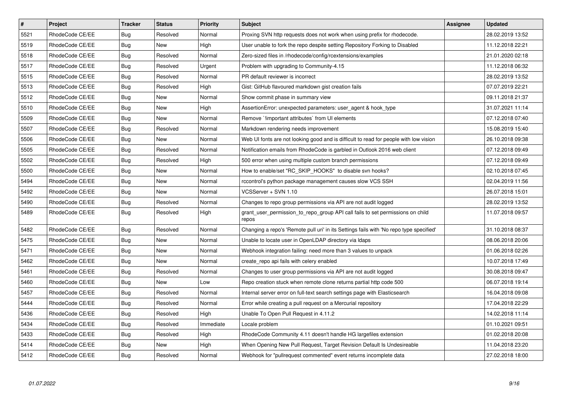| $\vert$ # | Project         | <b>Tracker</b> | <b>Status</b> | <b>Priority</b> | <b>Subject</b>                                                                          | <b>Assignee</b> | <b>Updated</b>   |
|-----------|-----------------|----------------|---------------|-----------------|-----------------------------------------------------------------------------------------|-----------------|------------------|
| 5521      | RhodeCode CE/EE | Bug            | Resolved      | Normal          | Proxing SVN http requests does not work when using prefix for rhodecode.                |                 | 28.02.2019 13:52 |
| 5519      | RhodeCode CE/EE | Bug            | <b>New</b>    | High            | User unable to fork the repo despite setting Repository Forking to Disabled             |                 | 11.12.2018 22:21 |
| 5518      | RhodeCode CE/EE | Bug            | Resolved      | Normal          | Zero-sized files in /rhodecode/config/rcextensions/examples                             |                 | 21.01.2020 02:18 |
| 5517      | RhodeCode CE/EE | <b>Bug</b>     | Resolved      | Urgent          | Problem with upgrading to Community-4.15                                                |                 | 11.12.2018 06:32 |
| 5515      | RhodeCode CE/EE | <b>Bug</b>     | Resolved      | Normal          | PR default reviewer is incorrect                                                        |                 | 28.02.2019 13:52 |
| 5513      | RhodeCode CE/EE | Bug            | Resolved      | High            | Gist: GitHub flavoured markdown gist creation fails                                     |                 | 07.07.2019 22:21 |
| 5512      | RhodeCode CE/EE | Bug            | <b>New</b>    | Normal          | Show commit phase in summary view                                                       |                 | 09.11.2018 21:37 |
| 5510      | RhodeCode CE/EE | Bug            | <b>New</b>    | High            | AssertionError: unexpected parameters: user agent & hook type                           |                 | 31.07.2021 11:14 |
| 5509      | RhodeCode CE/EE | <b>Bug</b>     | <b>New</b>    | Normal          | Remove `!important attributes` from UI elements                                         |                 | 07.12.2018 07:40 |
| 5507      | RhodeCode CE/EE | Bug            | Resolved      | Normal          | Markdown rendering needs improvement                                                    |                 | 15.08.2019 15:40 |
| 5506      | RhodeCode CE/EE | <b>Bug</b>     | <b>New</b>    | Normal          | Web UI fonts are not looking good and is difficult to read for people with low vision   |                 | 26.10.2018 09:38 |
| 5505      | RhodeCode CE/EE | Bug            | Resolved      | Normal          | Notification emails from RhodeCode is garbled in Outlook 2016 web client                |                 | 07.12.2018 09:49 |
| 5502      | RhodeCode CE/EE | Bug            | Resolved      | High            | 500 error when using multiple custom branch permissions                                 |                 | 07.12.2018 09:49 |
| 5500      | RhodeCode CE/EE | Bug            | <b>New</b>    | Normal          | How to enable/set "RC_SKIP_HOOKS" to disable svn hooks?                                 |                 | 02.10.2018 07:45 |
| 5494      | RhodeCode CE/EE | Bug            | <b>New</b>    | Normal          | rccontrol's python package management causes slow VCS SSH                               |                 | 02.04.2019 11:56 |
| 5492      | RhodeCode CE/EE | Bug            | <b>New</b>    | Normal          | VCSServer + SVN 1.10                                                                    |                 | 26.07.2018 15:01 |
| 5490      | RhodeCode CE/EE | Bug            | Resolved      | Normal          | Changes to repo group permissions via API are not audit logged                          |                 | 28.02.2019 13:52 |
| 5489      | RhodeCode CE/EE | Bug            | Resolved      | High            | grant user permission to repo group API call fails to set permissions on child<br>repos |                 | 11.07.2018 09:57 |
| 5482      | RhodeCode CE/EE | Bug            | Resolved      | Normal          | Changing a repo's 'Remote pull uri' in its Settings fails with 'No repo type specified' |                 | 31.10.2018 08:37 |
| 5475      | RhodeCode CE/EE | Bug            | <b>New</b>    | Normal          | Unable to locate user in OpenLDAP directory via Idaps                                   |                 | 08.06.2018 20:06 |
| 5471      | RhodeCode CE/EE | <b>Bug</b>     | New           | Normal          | Webhook integration failing: need more than 3 values to unpack                          |                 | 01.06.2018 02:26 |
| 5462      | RhodeCode CE/EE | Bug            | New           | Normal          | create repo api fails with celery enabled                                               |                 | 10.07.2018 17:49 |
| 5461      | RhodeCode CE/EE | Bug            | Resolved      | Normal          | Changes to user group permissions via API are not audit logged                          |                 | 30.08.2018 09:47 |
| 5460      | RhodeCode CE/EE | <b>Bug</b>     | <b>New</b>    | Low             | Repo creation stuck when remote clone returns partial http code 500                     |                 | 06.07.2018 19:14 |
| 5457      | RhodeCode CE/EE | Bug            | Resolved      | Normal          | Internal server error on full-text search settings page with Elasticsearch              |                 | 16.04.2018 09:08 |
| 5444      | RhodeCode CE/EE | Bug            | Resolved      | Normal          | Error while creating a pull request on a Mercurial repository                           |                 | 17.04.2018 22:29 |
| 5436      | RhodeCode CE/EE | Bug            | Resolved      | High            | Unable To Open Pull Request in 4.11.2                                                   |                 | 14.02.2018 11:14 |
| 5434      | RhodeCode CE/EE | Bug            | Resolved      | Immediate       | Locale problem                                                                          |                 | 01.10.2021 09:51 |
| 5433      | RhodeCode CE/EE | Bug            | Resolved      | High            | RhodeCode Community 4.11 doesn't handle HG largefiles extension                         |                 | 01.02.2018 20:08 |
| 5414      | RhodeCode CE/EE | Bug            | New           | High            | When Opening New Pull Request, Target Revision Default Is Undesireable                  |                 | 11.04.2018 23:20 |
| 5412      | RhodeCode CE/EE | Bug            | Resolved      | Normal          | Webhook for "pullrequest commented" event returns incomplete data                       |                 | 27.02.2018 18:00 |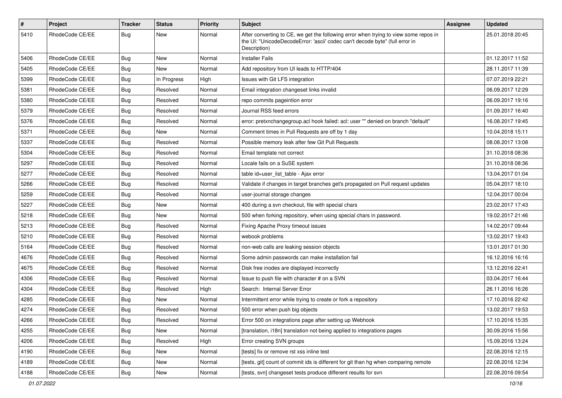| $\#$ | Project         | <b>Tracker</b> | <b>Status</b> | <b>Priority</b> | Subject                                                                                                                                                                              | Assignee | <b>Updated</b>   |
|------|-----------------|----------------|---------------|-----------------|--------------------------------------------------------------------------------------------------------------------------------------------------------------------------------------|----------|------------------|
| 5410 | RhodeCode CE/EE | Bug            | New           | Normal          | After converting to CE, we get the following error when trying to view some repos in<br>the UI: "UnicodeDecodeError: 'ascii' codec can't decode byte" (full error in<br>Description) |          | 25.01.2018 20:45 |
| 5406 | RhodeCode CE/EE | <b>Bug</b>     | New           | Normal          | <b>Installer Fails</b>                                                                                                                                                               |          | 01.12.2017 11:52 |
| 5405 | RhodeCode CE/EE | <b>Bug</b>     | <b>New</b>    | Normal          | Add repository from UI leads to HTTP/404                                                                                                                                             |          | 28.11.2017 11:39 |
| 5399 | RhodeCode CE/EE | <b>Bug</b>     | In Progress   | High            | Issues with Git LFS integration                                                                                                                                                      |          | 07.07.2019 22:21 |
| 5381 | RhodeCode CE/EE | Bug            | Resolved      | Normal          | Email integration changeset links invalid                                                                                                                                            |          | 06.09.2017 12:29 |
| 5380 | RhodeCode CE/EE | <b>Bug</b>     | Resolved      | Normal          | repo commits pageintion error                                                                                                                                                        |          | 06.09.2017 19:16 |
| 5379 | RhodeCode CE/EE | <b>Bug</b>     | Resolved      | Normal          | Journal RSS feed errors                                                                                                                                                              |          | 01.09.2017 16:40 |
| 5376 | RhodeCode CE/EE | <b>Bug</b>     | Resolved      | Normal          | error: pretxnchangegroup.acl hook failed: acl: user "" denied on branch "default"                                                                                                    |          | 16.08.2017 19:45 |
| 5371 | RhodeCode CE/EE | <b>Bug</b>     | New           | Normal          | Comment times in Pull Requests are off by 1 day                                                                                                                                      |          | 10.04.2018 15:11 |
| 5337 | RhodeCode CE/EE | <b>Bug</b>     | Resolved      | Normal          | Possible memory leak after few Git Pull Requests                                                                                                                                     |          | 08.08.2017 13:08 |
| 5304 | RhodeCode CE/EE | <b>Bug</b>     | Resolved      | Normal          | Email template not correct                                                                                                                                                           |          | 31.10.2018 08:36 |
| 5297 | RhodeCode CE/EE | <b>Bug</b>     | Resolved      | Normal          | Locale fails on a SuSE system                                                                                                                                                        |          | 31.10.2018 08:36 |
| 5277 | RhodeCode CE/EE | <b>Bug</b>     | Resolved      | Normal          | table id=user_list_table - Ajax error                                                                                                                                                |          | 13.04.2017 01:04 |
| 5266 | RhodeCode CE/EE | <b>Bug</b>     | Resolved      | Normal          | Validate if changes in target branches get's propagated on Pull request updates                                                                                                      |          | 05.04.2017 18:10 |
| 5259 | RhodeCode CE/EE | <b>Bug</b>     | Resolved      | Normal          | user-journal storage changes                                                                                                                                                         |          | 12.04.2017 00:04 |
| 5227 | RhodeCode CE/EE | <b>Bug</b>     | <b>New</b>    | Normal          | 400 during a svn checkout, file with special chars                                                                                                                                   |          | 23.02.2017 17:43 |
| 5218 | RhodeCode CE/EE | <b>Bug</b>     | New           | Normal          | 500 when forking repository, when using special chars in password.                                                                                                                   |          | 19.02.2017 21:46 |
| 5213 | RhodeCode CE/EE | <b>Bug</b>     | Resolved      | Normal          | Fixing Apache Proxy timeout issues                                                                                                                                                   |          | 14.02.2017 09:44 |
| 5210 | RhodeCode CE/EE | <b>Bug</b>     | Resolved      | Normal          | webook problems                                                                                                                                                                      |          | 13.02.2017 19:43 |
| 5164 | RhodeCode CE/EE | <b>Bug</b>     | Resolved      | Normal          | non-web calls are leaking session objects                                                                                                                                            |          | 13.01.2017 01:30 |
| 4676 | RhodeCode CE/EE | <b>Bug</b>     | Resolved      | Normal          | Some admin passwords can make installation fail                                                                                                                                      |          | 16.12.2016 16:16 |
| 4675 | RhodeCode CE/EE | <b>Bug</b>     | Resolved      | Normal          | Disk free inodes are displayed incorrectly                                                                                                                                           |          | 13.12.2016 22:41 |
| 4306 | RhodeCode CE/EE | <b>Bug</b>     | Resolved      | Normal          | Issue to push file with character # on a SVN                                                                                                                                         |          | 03.04.2017 16:44 |
| 4304 | RhodeCode CE/EE | <b>Bug</b>     | Resolved      | High            | Search: Internal Server Error                                                                                                                                                        |          | 26.11.2016 16:26 |
| 4285 | RhodeCode CE/EE | <b>Bug</b>     | New           | Normal          | Intermittent error while trying to create or fork a repository                                                                                                                       |          | 17.10.2016 22:42 |
| 4274 | RhodeCode CE/EE | <b>Bug</b>     | Resolved      | Normal          | 500 error when push big objects                                                                                                                                                      |          | 13.02.2017 19:53 |
| 4266 | RhodeCode CE/EE | <b>Bug</b>     | Resolved      | Normal          | Error 500 on integrations page after setting up Webhook                                                                                                                              |          | 17.10.2016 15:35 |
| 4255 | RhodeCode CE/EE | <b>Bug</b>     | New           | Normal          | [translation, i18n] translation not being applied to integrations pages                                                                                                              |          | 30.09.2016 15:56 |
| 4206 | RhodeCode CE/EE | Bug            | Resolved      | High            | Error creating SVN groups                                                                                                                                                            |          | 15.09.2016 13:24 |
| 4190 | RhodeCode CE/EE | <b>Bug</b>     | New           | Normal          | [tests] fix or remove rst xss inline test                                                                                                                                            |          | 22.08.2016 12:15 |
| 4189 | RhodeCode CE/EE | <b>Bug</b>     | New           | Normal          | [tests, git] count of commit ids is different for git than hg when comparing remote                                                                                                  |          | 22.08.2016 12:34 |
| 4188 | RhodeCode CE/EE | <b>Bug</b>     | New           | Normal          | [tests, svn] changeset tests produce different results for svn                                                                                                                       |          | 22.08.2016 09:54 |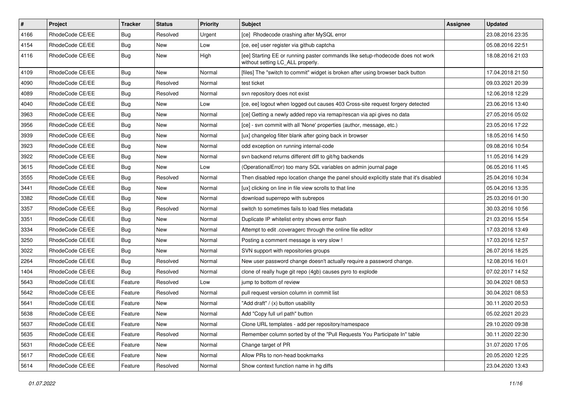| $\pmb{\#}$ | Project         | <b>Tracker</b> | <b>Status</b> | <b>Priority</b> | <b>Subject</b>                                                                                                     | <b>Assignee</b> | <b>Updated</b>   |
|------------|-----------------|----------------|---------------|-----------------|--------------------------------------------------------------------------------------------------------------------|-----------------|------------------|
| 4166       | RhodeCode CE/EE | Bug            | Resolved      | Urgent          | [ce] Rhodecode crashing after MySQL error                                                                          |                 | 23.08.2016 23:35 |
| 4154       | RhodeCode CE/EE | Bug            | <b>New</b>    | Low             | [ce, ee] user register via github captcha                                                                          |                 | 05.08.2016 22:51 |
| 4116       | RhodeCode CE/EE | <b>Bug</b>     | New           | High            | [ee] Starting EE or running paster commands like setup-rhodecode does not work<br>without setting LC_ALL properly. |                 | 18.08.2016 21:03 |
| 4109       | RhodeCode CE/EE | Bug            | <b>New</b>    | Normal          | [files] The "switch to commit" widget is broken after using browser back button                                    |                 | 17.04.2018 21:50 |
| 4090       | RhodeCode CE/EE | Bug            | Resolved      | Normal          | test ticket                                                                                                        |                 | 09.03.2021 20:39 |
| 4089       | RhodeCode CE/EE | Bug            | Resolved      | Normal          | svn repository does not exist                                                                                      |                 | 12.06.2018 12:29 |
| 4040       | RhodeCode CE/EE | Bug            | New           | Low             | [ce, ee] logout when logged out causes 403 Cross-site request forgery detected                                     |                 | 23.06.2016 13:40 |
| 3963       | RhodeCode CE/EE | <b>Bug</b>     | New           | Normal          | [ce] Getting a newly added repo via remap/rescan via api gives no data                                             |                 | 27.05.2016 05:02 |
| 3956       | RhodeCode CE/EE | Bug            | New           | Normal          | [ce] - svn commit with all 'None' properties (author, message, etc.)                                               |                 | 23.05.2016 17:22 |
| 3939       | RhodeCode CE/EE | Bug            | New           | Normal          | [ux] changelog filter blank after going back in browser                                                            |                 | 18.05.2016 14:50 |
| 3923       | RhodeCode CE/EE | Bug            | New           | Normal          | odd exception on running internal-code                                                                             |                 | 09.08.2016 10:54 |
| 3922       | RhodeCode CE/EE | Bug            | <b>New</b>    | Normal          | svn backend returns different diff to git/hg backends                                                              |                 | 11.05.2016 14:29 |
| 3615       | RhodeCode CE/EE | Bug            | <b>New</b>    | Low             | (OperationalError) too many SQL variables on admin journal page                                                    |                 | 06.05.2016 11:45 |
| 3555       | RhodeCode CE/EE | Bug            | Resolved      | Normal          | Then disabled repo location change the panel should explicitly state that it's disabled                            |                 | 25.04.2016 10:34 |
| 3441       | RhodeCode CE/EE | Bug            | New           | Normal          | [ux] clicking on line in file view scrolls to that line                                                            |                 | 05.04.2016 13:35 |
| 3382       | RhodeCode CE/EE | Bug            | New           | Normal          | download superrepo with subrepos                                                                                   |                 | 25.03.2016 01:30 |
| 3357       | RhodeCode CE/EE | Bug            | Resolved      | Normal          | switch to sometimes fails to load files metadata                                                                   |                 | 30.03.2016 10:56 |
| 3351       | RhodeCode CE/EE | Bug            | New           | Normal          | Duplicate IP whitelist entry shows error flash                                                                     |                 | 21.03.2016 15:54 |
| 3334       | RhodeCode CE/EE | Bug            | New           | Normal          | Attempt to edit .coveragerc through the online file editor                                                         |                 | 17.03.2016 13:49 |
| 3250       | RhodeCode CE/EE | Bug            | New           | Normal          | Posting a comment message is very slow !                                                                           |                 | 17.03.2016 12:57 |
| 3022       | RhodeCode CE/EE | <b>Bug</b>     | New           | Normal          | SVN support with repositories groups                                                                               |                 | 26.07.2016 18:25 |
| 2264       | RhodeCode CE/EE | Bug            | Resolved      | Normal          | New user password change doesn't actually require a password change.                                               |                 | 12.08.2016 16:01 |
| 1404       | RhodeCode CE/EE | Bug            | Resolved      | Normal          | clone of really huge git repo (4gb) causes pyro to explode                                                         |                 | 07.02.2017 14:52 |
| 5643       | RhodeCode CE/EE | Feature        | Resolved      | Low             | jump to bottom of review                                                                                           |                 | 30.04.2021 08:53 |
| 5642       | RhodeCode CE/EE | Feature        | Resolved      | Normal          | pull request version column in commit list                                                                         |                 | 30.04.2021 08:53 |
| 5641       | RhodeCode CE/EE | Feature        | New           | Normal          | "Add draft" / (x) button usability                                                                                 |                 | 30.11.2020 20:53 |
| 5638       | RhodeCode CE/EE | Feature        | New           | Normal          | Add "Copy full url path" button                                                                                    |                 | 05.02.2021 20:23 |
| 5637       | RhodeCode CE/EE | Feature        | New           | Normal          | Clone URL templates - add per repository/namespace                                                                 |                 | 29.10.2020 09:38 |
| 5635       | RhodeCode CE/EE | Feature        | Resolved      | Normal          | Remember column sorted by of the "Pull Requests You Participate In" table                                          |                 | 30.11.2020 22:30 |
| 5631       | RhodeCode CE/EE | Feature        | New           | Normal          | Change target of PR                                                                                                |                 | 31.07.2020 17:05 |
| 5617       | RhodeCode CE/EE | Feature        | New           | Normal          | Allow PRs to non-head bookmarks                                                                                    |                 | 20.05.2020 12:25 |
| 5614       | RhodeCode CE/EE | Feature        | Resolved      | Normal          | Show context function name in hg diffs                                                                             |                 | 23.04.2020 13:43 |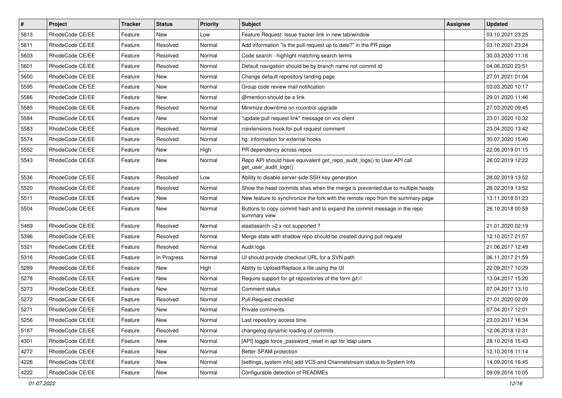| $\pmb{\#}$ | Project         | <b>Tracker</b> | <b>Status</b> | <b>Priority</b> | Subject                                                                                         | <b>Assignee</b> | <b>Updated</b>   |
|------------|-----------------|----------------|---------------|-----------------|-------------------------------------------------------------------------------------------------|-----------------|------------------|
| 5613       | RhodeCode CE/EE | Feature        | New           | Low             | Feature Request: Issue tracker link in new tab/window                                           |                 | 03.10.2021 23:25 |
| 5611       | RhodeCode CE/EE | Feature        | Resolved      | Normal          | Add information "is the pull request up to date?" in the PR page                                |                 | 03.10.2021 23:24 |
| 5603       | RhodeCode CE/EE | Feature        | Resolved      | Normal          | Code search - highlight matching search terms                                                   |                 | 30.03.2020 11:16 |
| 5601       | RhodeCode CE/EE | Feature        | Resolved      | Normal          | Default navigation should be by branch name not commit id                                       |                 | 04.06.2020 23:51 |
| 5600       | RhodeCode CE/EE | Feature        | <b>New</b>    | Normal          | Change default repository landing page                                                          |                 | 27.01.2021 01:04 |
| 5595       | RhodeCode CE/EE | Feature        | New           | Normal          | Group code review mail notification                                                             |                 | 03.03.2020 10:17 |
| 5586       | RhodeCode CE/EE | Feature        | New           | Normal          | @mention should be a link                                                                       |                 | 29.01.2020 11:46 |
| 5585       | RhodeCode CE/EE | Feature        | Resolved      | Normal          | Minimize downtime on rccontrol upgrade                                                          |                 | 27.03.2020 09:45 |
| 5584       | RhodeCode CE/EE | Feature        | New           | Normal          | "update pull request link" message on vcs client                                                |                 | 23.01.2020 10:32 |
| 5583       | RhodeCode CE/EE | Feature        | Resolved      | Normal          | rcextensions hook for pull request comment                                                      |                 | 23.04.2020 13:42 |
| 5574       | RhodeCode CE/EE | Feature        | Resolved      | Normal          | hg: Information for external hooks                                                              |                 | 30.07.2020 15:40 |
| 5552       | RhodeCode CE/EE | Feature        | New           | High            | PR dependency across repos                                                                      |                 | 22.06.2019 01:15 |
| 5543       | RhodeCode CE/EE | Feature        | <b>New</b>    | Normal          | Repo API should have equivalent get_repo_audit_logs() to User API call<br>get user audit logs() |                 | 26.02.2019 12:22 |
| 5536       | RhodeCode CE/EE | Feature        | Resolved      | Low             | Ability to disable server-side SSH key generation                                               |                 | 28.02.2019 13:52 |
| 5520       | RhodeCode CE/EE | Feature        | Resolved      | Normal          | Show the head commits shas when the merge is prevented due to multiple heads                    |                 | 28.02.2019 13:52 |
| 5511       | RhodeCode CE/EE | Feature        | New           | Normal          | New feature to synchronize the fork with the remote repo from the summary page                  |                 | 13.11.2018 01:23 |
| 5504       | RhodeCode CE/EE | Feature        | <b>New</b>    | Normal          | Buttons to copy commit hash and to expand the commit message in the repo<br>summary view        |                 | 26.10.2018 00:59 |
| 5469       | RhodeCode CE/EE | Feature        | Resolved      | Normal          | elastisearch > 2.x not supported?                                                               |                 | 21.01.2020 02:19 |
| 5396       | RhodeCode CE/EE | Feature        | Resolved      | Normal          | Merge state with shadow repo should be created during pull request                              |                 | 12.10.2017 21:57 |
| 5321       | RhodeCode CE/EE | Feature        | Resolved      | Normal          | Audit logs                                                                                      |                 | 21.06.2017 12:49 |
| 5316       | RhodeCode CE/EE | Feature        | In Progress   | Normal          | UI should provide checkout URL for a SVN path                                                   |                 | 06.11.2017 21:59 |
| 5289       | RhodeCode CE/EE | Feature        | New           | High            | Ability to Upload/Replace a file using the UI                                                   |                 | 22.09.2017 10:29 |
| 5278       | RhodeCode CE/EE | Feature        | New           | Normal          | Require support for git repositories of the form git://                                         |                 | 13.04.2017 15:20 |
| 5273       | RhodeCode CE/EE | Feature        | <b>New</b>    | Normal          | Comment status                                                                                  |                 | 07.04.2017 13:10 |
| 5272       | RhodeCode CE/EE | Feature        | Resolved      | Normal          | <b>Pull Request checklist</b>                                                                   |                 | 21.01.2020 02:09 |
| 5271       | RhodeCode CE/EE | Feature        | New           | Normal          | Private comments                                                                                |                 | 07.04.2017 12:01 |
| 5256       | RhodeCode CE/EE | Feature        | New           | Normal          | Last repository access time.                                                                    |                 | 23.03.2017 16:34 |
| 5187       | RhodeCode CE/EE | Feature        | Resolved      | Normal          | changelog dynamic loading of commits                                                            |                 | 12.06.2018 12:31 |
| 4301       | RhodeCode CE/EE | Feature        | <b>New</b>    | Normal          | [API] toggle force password reset in api for Idap users                                         |                 | 28.10.2016 15:43 |
| 4272       | RhodeCode CE/EE | Feature        | New           | Normal          | Better SPAM protection                                                                          |                 | 12.10.2016 11:14 |
| 4226       | RhodeCode CE/EE | Feature        | New           | Normal          | [settings, system info] add VCS and Channelstream status to System Info                         |                 | 14.09.2016 16:45 |
| 4222       | RhodeCode CE/EE | Feature        | New           | Normal          | Configurable detection of READMEs                                                               |                 | 09.09.2016 10:05 |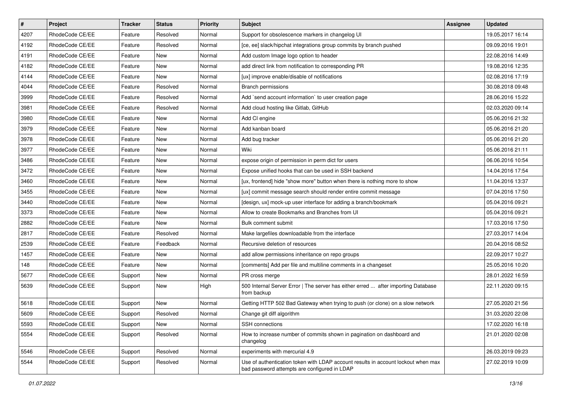| $\vert$ # | Project         | <b>Tracker</b> | <b>Status</b> | <b>Priority</b> | <b>Subject</b>                                                                                                                    | <b>Assignee</b> | <b>Updated</b>   |
|-----------|-----------------|----------------|---------------|-----------------|-----------------------------------------------------------------------------------------------------------------------------------|-----------------|------------------|
| 4207      | RhodeCode CE/EE | Feature        | Resolved      | Normal          | Support for obsolescence markers in changelog UI                                                                                  |                 | 19.05.2017 16:14 |
| 4192      | RhodeCode CE/EE | Feature        | Resolved      | Normal          | [ce, ee] slack/hipchat integrations group commits by branch pushed                                                                |                 | 09.09.2016 19:01 |
| 4191      | RhodeCode CE/EE | Feature        | New           | Normal          | Add custom Image logo option to header                                                                                            |                 | 22.08.2016 14:49 |
| 4182      | RhodeCode CE/EE | Feature        | New           | Normal          | add direct link from notification to corresponding PR                                                                             |                 | 19.08.2016 12:35 |
| 4144      | RhodeCode CE/EE | Feature        | New           | Normal          | [ux] improve enable/disable of notifications                                                                                      |                 | 02.08.2016 17:19 |
| 4044      | RhodeCode CE/EE | Feature        | Resolved      | Normal          | <b>Branch permissions</b>                                                                                                         |                 | 30.08.2018 09:48 |
| 3999      | RhodeCode CE/EE | Feature        | Resolved      | Normal          | Add `send account information` to user creation page                                                                              |                 | 28.06.2016 15:22 |
| 3981      | RhodeCode CE/EE | Feature        | Resolved      | Normal          | Add cloud hosting like Gitlab, GitHub                                                                                             |                 | 02.03.2020 09:14 |
| 3980      | RhodeCode CE/EE | Feature        | New           | Normal          | Add CI engine                                                                                                                     |                 | 05.06.2016 21:32 |
| 3979      | RhodeCode CE/EE | Feature        | New           | Normal          | Add kanban board                                                                                                                  |                 | 05.06.2016 21:20 |
| 3978      | RhodeCode CE/EE | Feature        | New           | Normal          | Add bug tracker                                                                                                                   |                 | 05.06.2016 21:20 |
| 3977      | RhodeCode CE/EE | Feature        | New           | Normal          | Wiki                                                                                                                              |                 | 05.06.2016 21:11 |
| 3486      | RhodeCode CE/EE | Feature        | <b>New</b>    | Normal          | expose origin of permission in perm dict for users                                                                                |                 | 06.06.2016 10:54 |
| 3472      | RhodeCode CE/EE | Feature        | New           | Normal          | Expose unified hooks that can be used in SSH backend                                                                              |                 | 14.04.2016 17:54 |
| 3460      | RhodeCode CE/EE | Feature        | <b>New</b>    | Normal          | [ux, frontend] hide "show more" button when there is nothing more to show                                                         |                 | 11.04.2016 13:37 |
| 3455      | RhodeCode CE/EE | Feature        | New           | Normal          | [ux] commit message search should render entire commit message                                                                    |                 | 07.04.2016 17:50 |
| 3440      | RhodeCode CE/EE | Feature        | New           | Normal          | [design, ux] mock-up user interface for adding a branch/bookmark                                                                  |                 | 05.04.2016 09:21 |
| 3373      | RhodeCode CE/EE | Feature        | New           | Normal          | Allow to create Bookmarks and Branches from UI                                                                                    |                 | 05.04.2016 09:21 |
| 2882      | RhodeCode CE/EE | Feature        | New           | Normal          | Bulk comment submit                                                                                                               |                 | 17.03.2016 17:50 |
| 2817      | RhodeCode CE/EE | Feature        | Resolved      | Normal          | Make largefiles downloadable from the interface                                                                                   |                 | 27.03.2017 14:04 |
| 2539      | RhodeCode CE/EE | Feature        | Feedback      | Normal          | Recursive deletion of resources                                                                                                   |                 | 20.04.2016 08:52 |
| 1457      | RhodeCode CE/EE | Feature        | New           | Normal          | add allow permissions inheritance on repo groups                                                                                  |                 | 22.09.2017 10:27 |
| 148       | RhodeCode CE/EE | Feature        | New           | Normal          | [comments] Add per file and multiline comments in a changeset                                                                     |                 | 25.05.2016 10:20 |
| 5677      | RhodeCode CE/EE | Support        | New           | Normal          | PR cross merge                                                                                                                    |                 | 28.01.2022 16:59 |
| 5639      | RhodeCode CE/EE | Support        | New           | High            | 500 Internal Server Error   The server has either erred  after importing Database<br>from backup                                  |                 | 22.11.2020 09:15 |
| 5618      | RhodeCode CE/EE | Support        | New           | Normal          | Getting HTTP 502 Bad Gateway when trying to push (or clone) on a slow network                                                     |                 | 27.05.2020 21:56 |
| 5609      | RhodeCode CE/EE | Support        | Resolved      | Normal          | Change git diff algorithm                                                                                                         |                 | 31.03.2020 22:08 |
| 5593      | RhodeCode CE/EE | Support        | New           | Normal          | SSH connections                                                                                                                   |                 | 17.02.2020 16:18 |
| 5554      | RhodeCode CE/EE | Support        | Resolved      | Normal          | How to increase number of commits shown in pagination on dashboard and<br>changelog                                               |                 | 21.01.2020 02:08 |
| 5546      | RhodeCode CE/EE | Support        | Resolved      | Normal          | experiments with mercurial 4.9                                                                                                    |                 | 26.03.2019 09:23 |
| 5544      | RhodeCode CE/EE | Support        | Resolved      | Normal          | Use of authentication token with LDAP account results in account lockout when max<br>bad password attempts are configured in LDAP |                 | 27.02.2019 10:09 |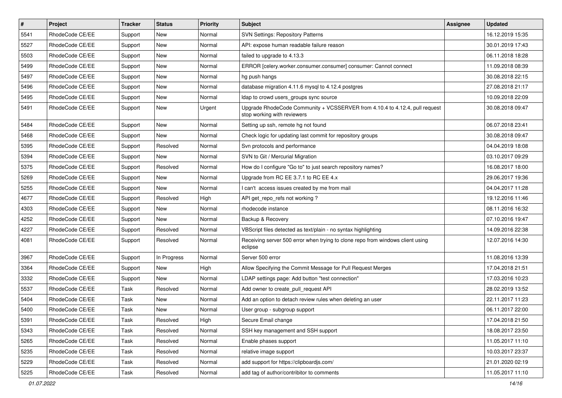| #    | Project         | <b>Tracker</b> | <b>Status</b> | <b>Priority</b> | <b>Subject</b>                                                                                             | Assignee | <b>Updated</b>   |
|------|-----------------|----------------|---------------|-----------------|------------------------------------------------------------------------------------------------------------|----------|------------------|
| 5541 | RhodeCode CE/EE | Support        | New           | Normal          | <b>SVN Settings: Repository Patterns</b>                                                                   |          | 16.12.2019 15:35 |
| 5527 | RhodeCode CE/EE | Support        | New           | Normal          | API: expose human readable failure reason                                                                  |          | 30.01.2019 17:43 |
| 5503 | RhodeCode CE/EE | Support        | New           | Normal          | failed to upgrade to 4.13.3                                                                                |          | 06.11.2018 18:28 |
| 5499 | RhodeCode CE/EE | Support        | New           | Normal          | ERROR [celery.worker.consumer.consumer] consumer: Cannot connect                                           |          | 11.09.2018 08:39 |
| 5497 | RhodeCode CE/EE | Support        | <b>New</b>    | Normal          | hg push hangs                                                                                              |          | 30.08.2018 22:15 |
| 5496 | RhodeCode CE/EE | Support        | New           | Normal          | database migration 4.11.6 mysql to 4.12.4 postgres                                                         |          | 27.08.2018 21:17 |
| 5495 | RhodeCode CE/EE | Support        | New           | Normal          | Idap to crowd users_groups sync source                                                                     |          | 10.09.2018 22:09 |
| 5491 | RhodeCode CE/EE | Support        | New           | Urgent          | Upgrade RhodeCode Community + VCSSERVER from 4.10.4 to 4.12.4, pull request<br>stop working with reviewers |          | 30.08.2018 09:47 |
| 5484 | RhodeCode CE/EE | Support        | New           | Normal          | Setting up ssh, remote hg not found                                                                        |          | 06.07.2018 23:41 |
| 5468 | RhodeCode CE/EE | Support        | New           | Normal          | Check logic for updating last commit for repository groups                                                 |          | 30.08.2018 09:47 |
| 5395 | RhodeCode CE/EE | Support        | Resolved      | Normal          | Svn protocols and performance                                                                              |          | 04.04.2019 18:08 |
| 5394 | RhodeCode CE/EE | Support        | New           | Normal          | SVN to Git / Mercurial Migration                                                                           |          | 03.10.2017 09:29 |
| 5375 | RhodeCode CE/EE | Support        | Resolved      | Normal          | How do I configure "Go to" to just search repository names?                                                |          | 16.08.2017 18:00 |
| 5269 | RhodeCode CE/EE | Support        | New           | Normal          | Upgrade from RC EE 3.7.1 to RC EE 4.x                                                                      |          | 29.06.2017 19:36 |
| 5255 | RhodeCode CE/EE | Support        | New           | Normal          | I can't access issues created by me from mail                                                              |          | 04.04.2017 11:28 |
| 4677 | RhodeCode CE/EE | Support        | Resolved      | High            | API get_repo_refs not working?                                                                             |          | 19.12.2016 11:46 |
| 4303 | RhodeCode CE/EE | Support        | <b>New</b>    | Normal          | rhodecode instance                                                                                         |          | 08.11.2016 16:32 |
| 4252 | RhodeCode CE/EE | Support        | <b>New</b>    | Normal          | Backup & Recovery                                                                                          |          | 07.10.2016 19:47 |
| 4227 | RhodeCode CE/EE | Support        | Resolved      | Normal          | VBScript files detected as text/plain - no syntax highlighting                                             |          | 14.09.2016 22:38 |
| 4081 | RhodeCode CE/EE | Support        | Resolved      | Normal          | Receiving server 500 error when trying to clone repo from windows client using<br>eclipse                  |          | 12.07.2016 14:30 |
| 3967 | RhodeCode CE/EE | Support        | In Progress   | Normal          | Server 500 error                                                                                           |          | 11.08.2016 13:39 |
| 3364 | RhodeCode CE/EE | Support        | New           | High            | Allow Specifying the Commit Message for Pull Request Merges                                                |          | 17.04.2018 21:51 |
| 3332 | RhodeCode CE/EE | Support        | New           | Normal          | LDAP settings page: Add button "test connection"                                                           |          | 17.03.2016 10:23 |
| 5537 | RhodeCode CE/EE | Task           | Resolved      | Normal          | Add owner to create_pull_request API                                                                       |          | 28.02.2019 13:52 |
| 5404 | RhodeCode CE/EE | Task           | New           | Normal          | Add an option to detach review rules when deleting an user                                                 |          | 22.11.2017 11:23 |
| 5400 | RhodeCode CE/EE | Task           | New           | Normal          | User group - subgroup support                                                                              |          | 06.11.2017 22:00 |
| 5391 | RhodeCode CE/EE | Task           | Resolved      | High            | Secure Email change                                                                                        |          | 17.04.2018 21:50 |
| 5343 | RhodeCode CE/EE | Task           | Resolved      | Normal          | SSH key management and SSH support                                                                         |          | 18.08.2017 23:50 |
| 5265 | RhodeCode CE/EE | Task           | Resolved      | Normal          | Enable phases support                                                                                      |          | 11.05.2017 11:10 |
| 5235 | RhodeCode CE/EE | Task           | Resolved      | Normal          | relative image support                                                                                     |          | 10.03.2017 23:37 |
| 5229 | RhodeCode CE/EE | Task           | Resolved      | Normal          | add support for https://clipboardjs.com/                                                                   |          | 21.01.2020 02:19 |
| 5225 | RhodeCode CE/EE | Task           | Resolved      | Normal          | add tag of author/contribitor to comments                                                                  |          | 11.05.2017 11:10 |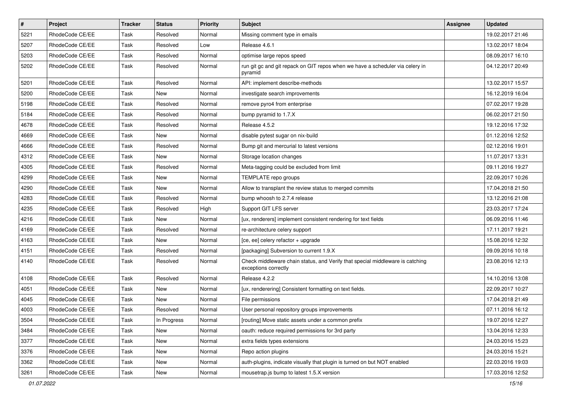| $\pmb{\#}$ | Project         | <b>Tracker</b> | <b>Status</b> | Priority | Subject                                                                                               | <b>Assignee</b> | <b>Updated</b>   |
|------------|-----------------|----------------|---------------|----------|-------------------------------------------------------------------------------------------------------|-----------------|------------------|
| 5221       | RhodeCode CE/EE | Task           | Resolved      | Normal   | Missing comment type in emails                                                                        |                 | 19.02.2017 21:46 |
| 5207       | RhodeCode CE/EE | Task           | Resolved      | Low      | Release 4.6.1                                                                                         |                 | 13.02.2017 18:04 |
| 5203       | RhodeCode CE/EE | Task           | Resolved      | Normal   | optimise large repos speed                                                                            |                 | 08.09.2017 16:10 |
| 5202       | RhodeCode CE/EE | Task           | Resolved      | Normal   | run git gc and git repack on GIT repos when we have a scheduler via celery in<br>pyramid              |                 | 04.12.2017 20:49 |
| 5201       | RhodeCode CE/EE | Task           | Resolved      | Normal   | API: implement describe-methods                                                                       |                 | 13.02.2017 15:57 |
| 5200       | RhodeCode CE/EE | Task           | <b>New</b>    | Normal   | investigate search improvements                                                                       |                 | 16.12.2019 16:04 |
| 5198       | RhodeCode CE/EE | Task           | Resolved      | Normal   | remove pyro4 from enterprise                                                                          |                 | 07.02.2017 19:28 |
| 5184       | RhodeCode CE/EE | Task           | Resolved      | Normal   | bump pyramid to 1.7.X                                                                                 |                 | 06.02.2017 21:50 |
| 4678       | RhodeCode CE/EE | Task           | Resolved      | Normal   | Release 4.5.2                                                                                         |                 | 19.12.2016 17:32 |
| 4669       | RhodeCode CE/EE | Task           | New           | Normal   | disable pytest sugar on nix-build                                                                     |                 | 01.12.2016 12:52 |
| 4666       | RhodeCode CE/EE | Task           | Resolved      | Normal   | Bump git and mercurial to latest versions                                                             |                 | 02.12.2016 19:01 |
| 4312       | RhodeCode CE/EE | Task           | New           | Normal   | Storage location changes                                                                              |                 | 11.07.2017 13:31 |
| 4305       | RhodeCode CE/EE | Task           | Resolved      | Normal   | Meta-tagging could be excluded from limit                                                             |                 | 09.11.2016 19:27 |
| 4299       | RhodeCode CE/EE | Task           | <b>New</b>    | Normal   | TEMPLATE repo groups                                                                                  |                 | 22.09.2017 10:26 |
| 4290       | RhodeCode CE/EE | Task           | <b>New</b>    | Normal   | Allow to transplant the review status to merged commits                                               |                 | 17.04.2018 21:50 |
| 4283       | RhodeCode CE/EE | Task           | Resolved      | Normal   | bump whoosh to 2.7.4 release                                                                          |                 | 13.12.2016 21:08 |
| 4235       | RhodeCode CE/EE | Task           | Resolved      | High     | Support GIT LFS server                                                                                |                 | 23.03.2017 17:24 |
| 4216       | RhodeCode CE/EE | Task           | <b>New</b>    | Normal   | [ux, renderers] implement consistent rendering for text fields                                        |                 | 06.09.2016 11:46 |
| 4169       | RhodeCode CE/EE | Task           | Resolved      | Normal   | re-architecture celery support                                                                        |                 | 17.11.2017 19:21 |
| 4163       | RhodeCode CE/EE | Task           | <b>New</b>    | Normal   | [ce, ee] celery refactor + upgrade                                                                    |                 | 15.08.2016 12:32 |
| 4151       | RhodeCode CE/EE | Task           | Resolved      | Normal   | [packaging] Subversion to current 1.9.X                                                               |                 | 09.09.2016 10:18 |
| 4140       | RhodeCode CE/EE | Task           | Resolved      | Normal   | Check middleware chain status, and Verify that special middleware is catching<br>exceptions correctly |                 | 23.08.2016 12:13 |
| 4108       | RhodeCode CE/EE | Task           | Resolved      | Normal   | Release 4.2.2                                                                                         |                 | 14.10.2016 13:08 |
| 4051       | RhodeCode CE/EE | Task           | <b>New</b>    | Normal   | [ux, renderering] Consistent formatting on text fields.                                               |                 | 22.09.2017 10:27 |
| 4045       | RhodeCode CE/EE | Task           | New           | Normal   | File permissions                                                                                      |                 | 17.04.2018 21:49 |
| 4003       | RhodeCode CE/EE | Task           | Resolved      | Normal   | User personal repository groups improvements                                                          |                 | 07.11.2016 16:12 |
| 3504       | RhodeCode CE/EE | Task           | In Progress   | Normal   | [routing] Move static assets under a common prefix                                                    |                 | 19.07.2016 12:27 |
| 3484       | RhodeCode CE/EE | Task           | New           | Normal   | oauth: reduce required permissions for 3rd party                                                      |                 | 13.04.2016 12:33 |
| 3377       | RhodeCode CE/EE | Task           | New           | Normal   | extra fields types extensions                                                                         |                 | 24.03.2016 15:23 |
| 3376       | RhodeCode CE/EE | Task           | New           | Normal   | Repo action plugins                                                                                   |                 | 24.03.2016 15:21 |
| 3362       | RhodeCode CE/EE | Task           | New           | Normal   | auth-plugins, indicate visually that plugin is turned on but NOT enabled                              |                 | 22.03.2016 19:03 |
| 3261       | RhodeCode CE/EE | Task           | New           | Normal   | mousetrap.js bump to latest 1.5.X version                                                             |                 | 17.03.2016 12:52 |